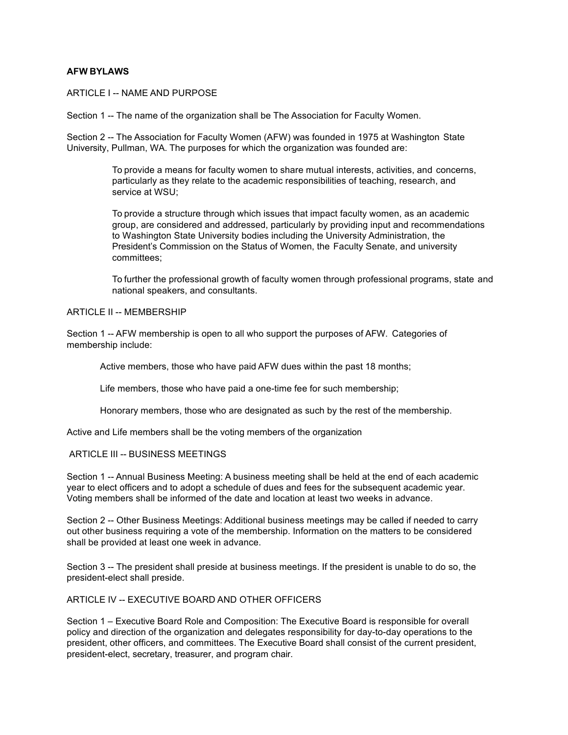### **AFW BYLAWS**

ARTICLE I -- NAME AND PURPOSE

Section 1 -- The name of the organization shall be The Association for Faculty Women.

Section 2 -- The Association for Faculty Women (AFW) was founded in 1975 at Washington State University, Pullman, WA. The purposes for which the organization was founded are:

> To provide a means for faculty women to share mutual interests, activities, and concerns, particularly as they relate to the academic responsibilities of teaching, research, and service at WSU;

To provide a structure through which issues that impact faculty women, as an academic group, are considered and addressed, particularly by providing input and recommendations to Washington State University bodies including the University Administration, the President's Commission on the Status of Women, the Faculty Senate, and university committees;

To further the professional growth of faculty women through professional programs, state and national speakers, and consultants.

#### ARTICLE II -- MEMBERSHIP

Section 1 -- AFW membership is open to all who support the purposes of AFW. Categories of membership include:

Active members, those who have paid AFW dues within the past 18 months;

Life members, those who have paid a one-time fee for such membership;

Honorary members, those who are designated as such by the rest of the membership.

Active and Life members shall be the voting members of the organization

## ARTICLE III -- BUSINESS MEETINGS

Section 1 -- Annual Business Meeting: A business meeting shall be held at the end of each academic year to elect officers and to adopt a schedule of dues and fees for the subsequent academic year. Voting members shall be informed of the date and location at least two weeks in advance.

Section 2 -- Other Business Meetings: Additional business meetings may be called if needed to carry out other business requiring a vote of the membership. Information on the matters to be considered shall be provided at least one week in advance.

Section 3 -- The president shall preside at business meetings. If the president is unable to do so, the president-elect shall preside.

# ARTICLE IV -- EXECUTIVE BOARD AND OTHER OFFICERS

Section 1 – Executive Board Role and Composition: The Executive Board is responsible for overall policy and direction of the organization and delegates responsibility for day-to-day operations to the president, other officers, and committees. The Executive Board shall consist of the current president, president-elect, secretary, treasurer, and program chair.